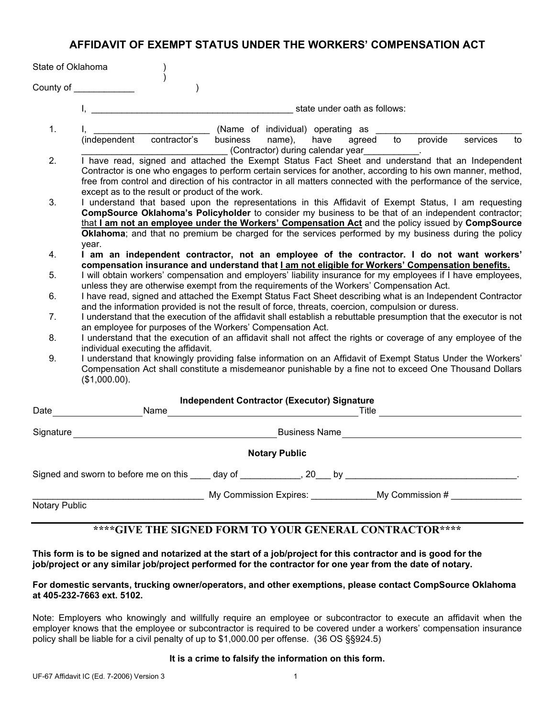# **AFFIDAVIT OF EXEMPT STATUS UNDER THE WORKERS' COMPENSATION ACT**

| State of Oklahoma |                                                                                                                                                                                                                                                                                                                                                                                                                                   |
|-------------------|-----------------------------------------------------------------------------------------------------------------------------------------------------------------------------------------------------------------------------------------------------------------------------------------------------------------------------------------------------------------------------------------------------------------------------------|
| County of _       |                                                                                                                                                                                                                                                                                                                                                                                                                                   |
|                   | state under oath as follows:                                                                                                                                                                                                                                                                                                                                                                                                      |
| $\mathbf{1}$ .    | (Name of individual) operating as<br>contractor's<br>provide<br>business<br>to<br>services<br>(independent<br>name),<br>agreed<br>to<br>have<br>(Contractor) during calendar year___________.                                                                                                                                                                                                                                     |
| 2.                | I have read, signed and attached the Exempt Status Fact Sheet and understand that an Independent<br>Contractor is one who engages to perform certain services for another, according to his own manner, method,<br>free from control and direction of his contractor in all matters connected with the performance of the service,<br>except as to the result or product of the work.                                             |
| 3.                | I understand that based upon the representations in this Affidavit of Exempt Status, I am requesting<br>CompSource Oklahoma's Policyholder to consider my business to be that of an independent contractor;<br>that I am not an employee under the Workers' Compensation Act and the policy issued by CompSource<br>Oklahoma; and that no premium be charged for the services performed by my business during the policy<br>year. |
| 4.                | I am an independent contractor, not an employee of the contractor. I do not want workers'<br>compensation insurance and understand that <b>Lam not eligible for Workers' Compensation benefits.</b>                                                                                                                                                                                                                               |
| 5.                | I will obtain workers' compensation and employers' liability insurance for my employees if I have employees,<br>unless they are otherwise exempt from the requirements of the Workers' Compensation Act.                                                                                                                                                                                                                          |
| 6.                | I have read, signed and attached the Exempt Status Fact Sheet describing what is an Independent Contractor<br>and the information provided is not the result of force, threats, coercion, compulsion or duress.                                                                                                                                                                                                                   |
| 7.                | I understand that the execution of the affidavit shall establish a rebuttable presumption that the executor is not<br>an employee for purposes of the Workers' Compensation Act.                                                                                                                                                                                                                                                  |
| 8.                | I understand that the execution of an affidavit shall not affect the rights or coverage of any employee of the<br>individual executing the affidavit.                                                                                                                                                                                                                                                                             |
| 9.                | I understand that knowingly providing false information on an Affidavit of Exempt Status Under the Workers'<br>Compensation Act shall constitute a misdemeanor punishable by a fine not to exceed One Thousand Dollars<br>(\$1,000.00).                                                                                                                                                                                           |
| Date              | <b>Independent Contractor (Executor) Signature</b><br>Name<br>Title                                                                                                                                                                                                                                                                                                                                                               |
| Signature         | <b>Business Name</b>                                                                                                                                                                                                                                                                                                                                                                                                              |

**Notary Public**

Signed and sworn to before me on this \_\_\_\_ day of \_\_\_\_\_\_\_\_\_\_\_\_, 20\_\_\_ by \_\_\_\_\_\_\_\_\_\_\_\_\_\_\_\_\_\_\_\_\_\_\_\_\_\_\_\_\_\_\_\_\_\_.

\_\_\_\_\_\_\_\_\_\_\_\_\_\_\_\_\_\_\_\_\_\_\_\_\_\_\_\_\_\_\_\_\_\_ My Commission Expires: \_\_\_\_\_\_\_\_\_\_\_\_\_My Commission # \_\_\_\_\_\_\_\_\_\_\_\_\_\_

Notary Public

# **\*\*\*\*GIVE THE SIGNED FORM TO YOUR GENERAL CONTRACTOR\*\*\*\***

**This form is to be signed and notarized at the start of a job/project for this contractor and is good for the job/project or any similar job/project performed for the contractor for one year from the date of notary.**

## **For domestic servants, trucking owner/operators, and other exemptions, please contact CompSource Oklahoma at 405-232-7663 ext. 5102.**

Note: Employers who knowingly and willfully require an employee or subcontractor to execute an affidavit when the employer knows that the employee or subcontractor is required to be covered under a workers' compensation insurance policy shall be liable for a civil penalty of up to \$1,000.00 per offense. (36 OS §§924.5)

## **It is a crime to falsify the information on this form.**